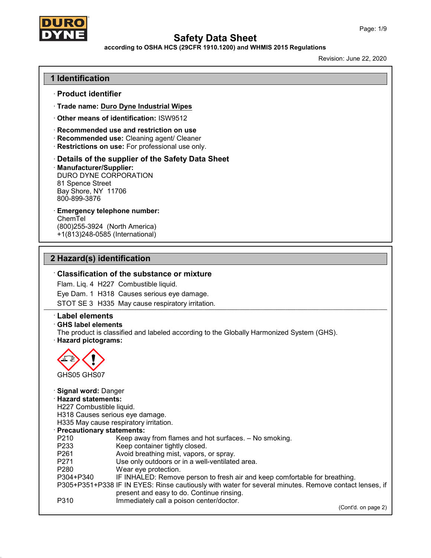

## according to OSHA HCS (29CFR 1910.1200) and WHMIS 2015 Regulations

Revision: June 22, 2020

## 1 Identification

- · Product identifier
- · Trade name: Duro Dyne Industrial Wipes
- · Other means of identification: ISW9512
- · Recommended use and restriction on use
- · Recommended use: Cleaning agent/ Cleaner
- · Restrictions on use: For professional use only.

· Details of the supplier of the Safety Data Sheet

· Manufacturer/Supplier: DURO DYNE CORPORATION 81 Spence Street Bay Shore, NY 11706 800-899-3876

· Emergency telephone number: ChemTel

(800)255-3924 (North America) +1(813)248-0585 (International)

## 2 Hazard(s) identification

#### · Classification of the substance or mixture

Flam. Liq. 4 H227 Combustible liquid.

Eye Dam. 1 H318 Causes serious eye damage.

STOT SE 3 H335 May cause respiratory irritation.

#### · Label elements

#### · GHS label elements

The product is classified and labeled according to the Globally Harmonized System (GHS). · Hazard pictograms:



## · Signal word: Danger

#### · Hazard statements:

H227 Combustible liquid.

- H318 Causes serious eye damage.
- H335 May cause respiratory irritation.

· Precautionary statements:

| <b>THE COULDING PROPERTY STATES.</b> |                                                                                                       |  |
|--------------------------------------|-------------------------------------------------------------------------------------------------------|--|
| P210                                 | Keep away from flames and hot surfaces. - No smoking.                                                 |  |
| P233                                 | Keep container tightly closed.                                                                        |  |
| P <sub>261</sub>                     | Avoid breathing mist, vapors, or spray.                                                               |  |
| P <sub>271</sub>                     | Use only outdoors or in a well-ventilated area.                                                       |  |
| P <sub>280</sub>                     | Wear eye protection.                                                                                  |  |
| P304+P340                            | IF INHALED: Remove person to fresh air and keep comfortable for breathing.                            |  |
|                                      | P305+P351+P338 IF IN EYES: Rinse cautiously with water for several minutes. Remove contact lenses, if |  |
|                                      | present and easy to do. Continue rinsing.                                                             |  |
| P310                                 | Immediately call a poison center/doctor.                                                              |  |
|                                      |                                                                                                       |  |

(Cont'd. on page 2)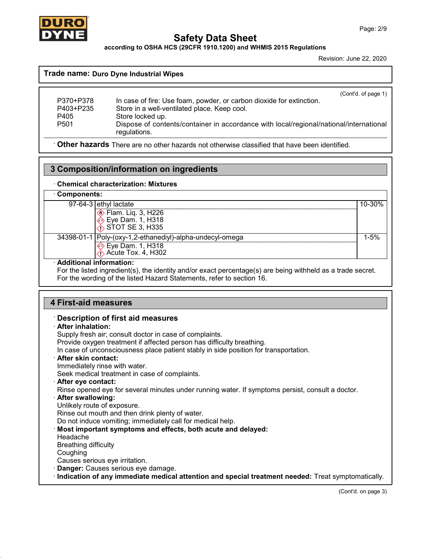

according to OSHA HCS (29CFR 1910.1200) and WHMIS 2015 Regulations

Revision: June 22, 2020

 $(C_{\alpha} + d_{\alpha} + f_{\alpha})$ 

#### Trade name: Duro Dyne Industrial Wipes

| P370+P378        | (COTILG. OF Dage 1)<br>In case of fire: Use foam, powder, or carbon dioxide for extinction. |
|------------------|---------------------------------------------------------------------------------------------|
|                  |                                                                                             |
| P403+P235        | Store in a well-ventilated place. Keep cool.                                                |
| P405             | Store locked up.                                                                            |
| P <sub>501</sub> | Dispose of contents/container in accordance with local/regional/national/international      |
|                  | regulations.                                                                                |

· Other hazards There are no other hazards not otherwise classified that have been identified.

## 3 Composition/information on ingredients

#### · Chemical characterization: Mixtures

## · Components:

| oompononto. |                                                            |             |
|-------------|------------------------------------------------------------|-------------|
|             | $97-64-3$ ethyl lactate                                    | $10 - 30\%$ |
|             | <b>♦ Flam. Lig. 3, H226</b>                                |             |
|             | <b>Eye Dam. 1, H318</b>                                    |             |
|             | $\lozenge$ STOT SE 3, H335                                 |             |
|             | 34398-01-1   Poly-(oxy-1,2-ethanediyl)-alpha-undecyl-omega | 1-5%        |
|             | → Eye Dam. 1, H318                                         |             |
|             | $\Diamond$ Acute Tox. 4, H302                              |             |
|             |                                                            |             |

#### · Additional information:

For the listed ingredient(s), the identity and/or exact percentage(s) are being withheld as a trade secret. For the wording of the listed Hazard Statements, refer to section 16.

## 4 First-aid measures

## · Description of first aid measures

#### · After inhalation:

Supply fresh air; consult doctor in case of complaints.

Provide oxygen treatment if affected person has difficulty breathing.

In case of unconsciousness place patient stably in side position for transportation.

#### · After skin contact:

Immediately rinse with water.

Seek medical treatment in case of complaints.

#### · After eye contact:

Rinse opened eye for several minutes under running water. If symptoms persist, consult a doctor.

#### · After swallowing:

Unlikely route of exposure.

Rinse out mouth and then drink plenty of water.

Do not induce vomiting; immediately call for medical help.

· Most important symptoms and effects, both acute and delayed:

Headache

Breathing difficulty

Coughing

Causes serious eye irritation.

· Danger: Causes serious eye damage.

· Indication of any immediate medical attention and special treatment needed: Treat symptomatically.

(Cont'd. on page 3)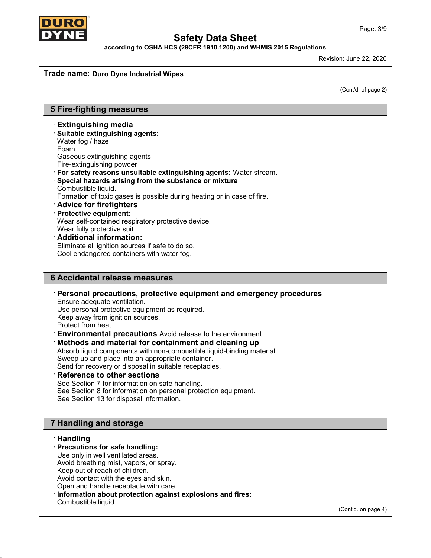

according to OSHA HCS (29CFR 1910.1200) and WHMIS 2015 Regulations

Revision: June 22, 2020

#### Trade name: Duro Dyne Industria**l** Wipes

(Cont'd. of page 2)

### 5 Fire-fighting measures

- · Extinguishing media
- · Suitable extinguishing agents:
- Water fog / haze
- Foam
- Gaseous extinguishing agents
- Fire-extinguishing powder
- · For safety reasons unsuitable extinguishing agents: Water stream.
- Special hazards arising from the substance or mixture Combustible liquid.
- Formation of toxic gases is possible during heating or in case of fire.
- · Advice for firefighters
- · Protective equipment:

Wear self-contained respiratory protective device.

- Wear fully protective suit.
- · Additional information:

Eliminate all ignition sources if safe to do so.

Cool endangered containers with water fog.

### 6 Accidental release measures

- · Personal precautions, protective equipment and emergency procedures
- Ensure adequate ventilation. Use personal protective equipment as required.
- Keep away from ignition sources.
- Protect from heat
- · Environmental precautions Avoid release to the environment.

#### · Methods and material for containment and cleaning up

Absorb liquid components with non-combustible liquid-binding material.

Sweep up and place into an appropriate container.

Send for recovery or disposal in suitable receptacles.

Reference to other sections

See Section 7 for information on safe handling.

See Section 8 for information on personal protection equipment.

See Section 13 for disposal information.

## 7 Handling and storage

#### · Handling

#### · Precautions for safe handling:

Use only in well ventilated areas.

Avoid breathing mist, vapors, or spray.

Keep out of reach of children. Avoid contact with the eyes and skin.

Open and handle receptacle with care.

- 
- · Information about protection against explosions and fires: Combustible liquid.

(Cont'd. on page 4)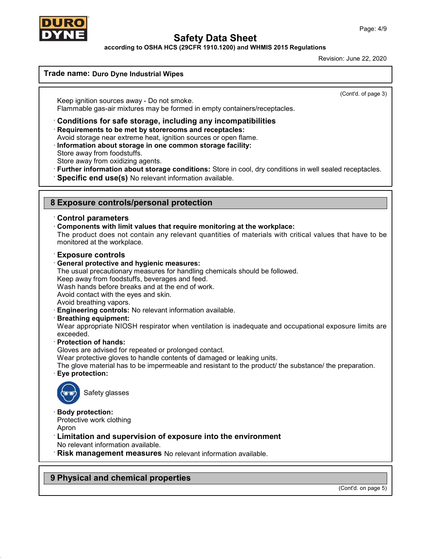

according to OSHA HCS (29CFR 1910.1200) and WHMIS 2015 Regulations

Revision: June 22, 2020

### Trade name: Duro Dyne Industrial Wipes

(Cont'd. of page 3)

Keep ignition sources away - Do not smoke. Flammable gas-air mixtures may be formed in empty containers/receptacles.

- · Conditions for safe storage, including any incompatibilities
- · Requirements to be met by storerooms and receptacles:
- Avoid storage near extreme heat, ignition sources or open flame.
- · Information about storage in one common storage facility:
- Store away from foodstuffs.

Store away from oxidizing agents.

- · Further information about storage conditions: Store in cool, dry conditions in well sealed receptacles.
- · Specific end use(s) No relevant information available.

### 8 Exposure controls/personal protection

#### · Control parameters

#### · Components with limit values that require monitoring at the workplace:

The product does not contain any relevant quantities of materials with critical values that have to be monitored at the workplace.

#### · Exposure controls

#### · General protective and hygienic measures:

The usual precautionary measures for handling chemicals should be followed.

Keep away from foodstuffs, beverages and feed.

Wash hands before breaks and at the end of work.

Avoid contact with the eyes and skin.

- Avoid breathing vapors.
- · Engineering controls: No relevant information available.

#### · Breathing equipment:

Wear appropriate NIOSH respirator when ventilation is inadequate and occupational exposure limits are exceeded.

· Protection of hands:

Gloves are advised for repeated or prolonged contact.

Wear protective gloves to handle contents of damaged or leaking units.

The glove material has to be impermeable and resistant to the product/ the substance/ the preparation. Eye protection:



Safety glasses

#### Body protection:

Protective work clothing

Apron

## · Limitation and supervision of exposure into the environment

No relevant information available.

· Risk management measures No relevant information available.

## 9 Physical and chemical properties

(Cont'd. on page 5)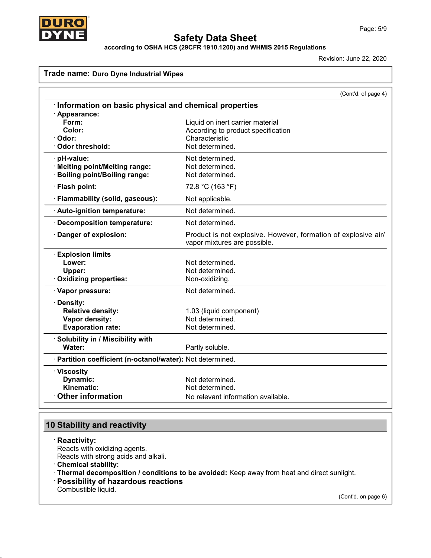



according to OSHA HCS (29CFR 1910.1200) and WHMIS 2015 Regulations

Revision: June 22, 2020

## Trade name: Duro Dyne Industrial Wipes

|                                                            | (Cont'd. of page 4)                                                                            |
|------------------------------------------------------------|------------------------------------------------------------------------------------------------|
| Information on basic physical and chemical properties      |                                                                                                |
| $\cdot$ Appearance:                                        |                                                                                                |
| Form:                                                      | Liquid on inert carrier material                                                               |
| Color:                                                     | According to product specification                                                             |
| · Odor:                                                    | Characteristic                                                                                 |
| · Odor threshold:                                          | Not determined.                                                                                |
| · pH-value:                                                | Not determined.                                                                                |
| · Melting point/Melting range:                             | Not determined.                                                                                |
| · Boiling point/Boiling range:                             | Not determined.                                                                                |
| · Flash point:                                             | 72.8 °C (163 °F)                                                                               |
| · Flammability (solid, gaseous):                           | Not applicable.                                                                                |
| · Auto-ignition temperature:                               | Not determined.                                                                                |
| · Decomposition temperature:                               | Not determined.                                                                                |
| · Danger of explosion:                                     | Product is not explosive. However, formation of explosive air/<br>vapor mixtures are possible. |
| <b>Explosion limits</b>                                    |                                                                                                |
| Lower:                                                     | Not determined.                                                                                |
| Upper:                                                     | Not determined.                                                                                |
| Oxidizing properties:                                      | Non-oxidizing.                                                                                 |
| · Vapor pressure:                                          | Not determined.                                                                                |
| · Density:                                                 |                                                                                                |
| <b>Relative density:</b>                                   | 1.03 (liquid component)                                                                        |
| Vapor density:                                             | Not determined.                                                                                |
| <b>Evaporation rate:</b>                                   | Not determined.                                                                                |
| · Solubility in / Miscibility with                         |                                                                                                |
| Water:                                                     | Partly soluble.                                                                                |
| · Partition coefficient (n-octanol/water): Not determined. |                                                                                                |
| · Viscosity                                                |                                                                                                |
| Dynamic:                                                   | Not determined.                                                                                |
| Kinematic:                                                 | Not determined.                                                                                |
| Other information                                          | No relevant information available.                                                             |

# 10 Stability and reactivity

· Reactivity:

Reacts with oxidizing agents.

Reacts with strong acids and alkali.

· Chemical stability:

· Thermal decomposition / conditions to be avoided: Keep away from heat and direct sunlight.

· Possibility of hazardous reactions

Combustible liquid.

(Cont'd. on page 6)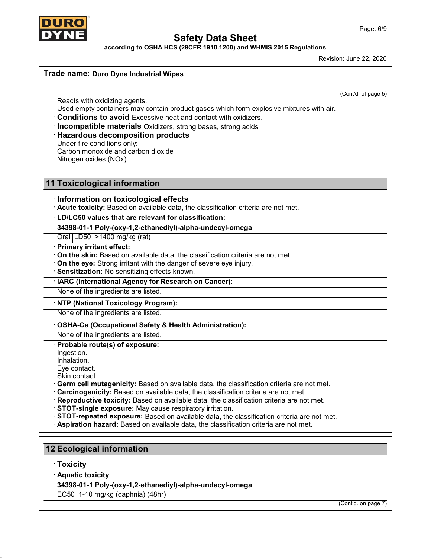

according to OSHA HCS (29CFR 1910.1200) and WHMIS 2015 Regulations

Revision: June 22, 2020

### Trade name: Duro Dyne Industrial Wipes

(Cont'd. of page 5)

Reacts with oxidizing agents. Used empty containers may contain product gases which form explosive mixtures with air.

- · Conditions to avoid Excessive heat and contact with oxidizers.
- · Incompatible materials Oxidizers, strong bases, strong acids

### · Hazardous decomposition products

Under fire conditions only:

Carbon monoxide and carbon dioxide

Nitrogen oxides (NOx)

## 11 Toxicological information

### · Information on toxicological effects

· Acute toxicity: Based on available data, the classification criteria are not met.

· LD/LC50 values that are relevant for classification:

#### 34398-01-1 Poly-(oxy-1,2-ethanediyl)-alpha-undecyl-omega

Oral LD50 >1400 mg/kg (rat)

#### · Primary irritant effect:

· On the skin: Based on available data, the classification criteria are not met.

- · On the eye: Strong irritant with the danger of severe eye injury.
- · Sensitization: No sensitizing effects known.

### · IARC (International Agency for Research on Cancer):

None of the ingredients are listed.

## · NTP (National Toxicology Program):

None of the ingredients are listed.

### OSHA-Ca (Occupational Safety & Health Administration):

# None of the ingredients are listed.

Probable route(s) of exposure:

Ingestion.

Inhalation.

Eye contact.

Skin contact.

- · Germ cell mutagenicity: Based on available data, the classification criteria are not met.
- · Carcinogenicity: Based on available data, the classification criteria are not met.
- · Reproductive toxicity: Based on available data, the classification criteria are not met.
- · STOT-single exposure: May cause respiratory irritation.
- · STOT-repeated exposure: Based on available data, the classification criteria are not met.
- · Aspiration hazard: Based on available data, the classification criteria are not met.

## 12 Ecological information

· Toxicity

· Aquatic toxicity

34398-01-1 Poly-(oxy-1,2-ethanediyl)-alpha-undecyl-omega

EC50 1-10 mg/kg (daphnia) (48hr)

(Cont'd. on page 7)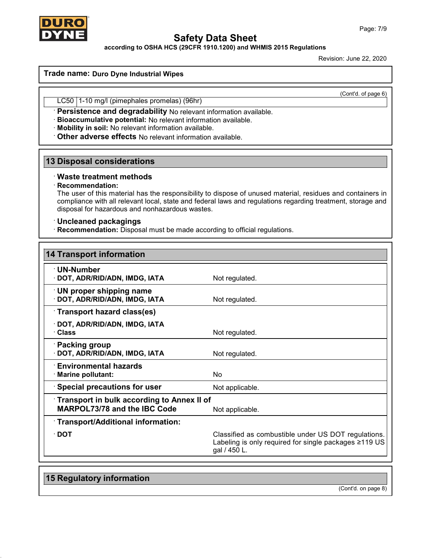

## according to OSHA HCS (29CFR 1910.1200) and WHMIS 2015 Regulations

Revision: June 22, 2020

#### Trade name: Duro Dyne Industrial Wipes

(Cont'd. of page 6)

LC50 1-10 mg/l (pimephales promelas) (96hr)

· Persistence and degradability No relevant information available.

· Bioaccumulative potential: No relevant information available.

· Mobility in soil: No relevant information available.

· Other adverse effects No relevant information available.

## 13 Disposal considerations

### · Waste treatment methods

#### · Recommendation:

The user of this material has the responsibility to dispose of unused material, residues and containers in compliance with all relevant local, state and federal laws and regulations regarding treatment, storage and disposal for hazardous and nonhazardous wastes.

### · Uncleaned packagings

· Recommendation: Disposal must be made according to official regulations.

| <b>14 Transport information</b>                                                   |                                                                                                                              |  |
|-----------------------------------------------------------------------------------|------------------------------------------------------------------------------------------------------------------------------|--|
| · UN-Number<br>· DOT, ADR/RID/ADN, IMDG, IATA                                     | Not regulated.                                                                                                               |  |
| $\cdot$ UN proper shipping name<br>· DOT, ADR/RID/ADN, IMDG, IATA                 | Not regulated.                                                                                                               |  |
| Transport hazard class(es)                                                        |                                                                                                                              |  |
| · DOT, ADR/RID/ADN, IMDG, IATA<br>· Class                                         | Not regulated.                                                                                                               |  |
| · Packing group<br>· DOT, ADR/RID/ADN, IMDG, IATA                                 | Not regulated.                                                                                                               |  |
| <b>Environmental hazards</b><br>· Marine pollutant:                               | <b>No</b>                                                                                                                    |  |
| $\cdot$ Special precautions for user                                              | Not applicable.                                                                                                              |  |
| Transport in bulk according to Annex II of<br><b>MARPOL73/78 and the IBC Code</b> | Not applicable.                                                                                                              |  |
| · Transport/Additional information:                                               |                                                                                                                              |  |
| $\cdot$ DOT                                                                       | Classified as combustible under US DOT regulations.<br>Labeling is only required for single packages ≥119 US<br>gal / 450 L. |  |

## 15 Regulatory information

(Cont'd. on page 8)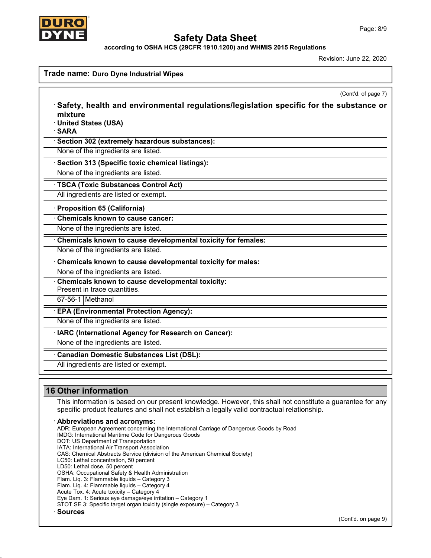

according to OSHA HCS (29CFR 1910.1200) and WHMIS 2015 Regulations

Revision: June 22, 2020

| mixture<br>· United States (USA)<br>· SARA                                       | (Cont'd. of page 7)<br>Safety, health and environmental regulations/legislation specific for the substance or |
|----------------------------------------------------------------------------------|---------------------------------------------------------------------------------------------------------------|
| · Section 302 (extremely hazardous substances):                                  |                                                                                                               |
| None of the ingredients are listed.                                              |                                                                                                               |
| · Section 313 (Specific toxic chemical listings):                                |                                                                                                               |
| None of the ingredients are listed.                                              |                                                                                                               |
| · TSCA (Toxic Substances Control Act)                                            |                                                                                                               |
| All ingredients are listed or exempt.                                            |                                                                                                               |
| · Proposition 65 (California)                                                    |                                                                                                               |
| <b>Chemicals known to cause cancer:</b>                                          |                                                                                                               |
| None of the ingredients are listed.                                              |                                                                                                               |
| Chemicals known to cause developmental toxicity for females:                     |                                                                                                               |
| None of the ingredients are listed.                                              |                                                                                                               |
| Chemicals known to cause developmental toxicity for males:                       |                                                                                                               |
| None of the ingredients are listed.                                              |                                                                                                               |
| Chemicals known to cause developmental toxicity:<br>Present in trace quantities. |                                                                                                               |
| 67-56-1 Methanol                                                                 |                                                                                                               |
| · EPA (Environmental Protection Agency):                                         |                                                                                                               |
| None of the ingredients are listed.                                              |                                                                                                               |
| · IARC (International Agency for Research on Cancer):                            |                                                                                                               |
| None of the ingredients are listed.                                              |                                                                                                               |
| Canadian Domestic Substances List (DSL):                                         |                                                                                                               |
| All ingredients are listed or exempt.                                            |                                                                                                               |
| <b>16 Other information</b>                                                      |                                                                                                               |
|                                                                                  | This information is based on our present knowledge. However, this shall not constitute a guarantee for any    |

· Abbreviations and acronyms: ADR: European Agreement concerning the International Carriage of Dangerous Goods by Road IMDG: International Maritime Code for Dangerous Goods DOT: US Department of Transportation IATA: International Air Transport Association CAS: Chemical Abstracts Service (division of the American Chemical Society) LC50: Lethal concentration, 50 percent LD50: Lethal dose, 50 percent OSHA: Occupational Safety & Health Administration Flam. Liq. 3: Flammable liquids – Category 3 Flam. Liq. 4: Flammable liquids – Category 4 Acute Tox. 4: Acute toxicity – Category 4 Eye Dam. 1: Serious eye damage/eye irritation – Category 1 STOT SE 3: Specific target organ toxicity (single exposure) – Category 3 · Sources

specific product features and shall not establish a legally valid contractual relationship.

(Cont'd. on page 9)